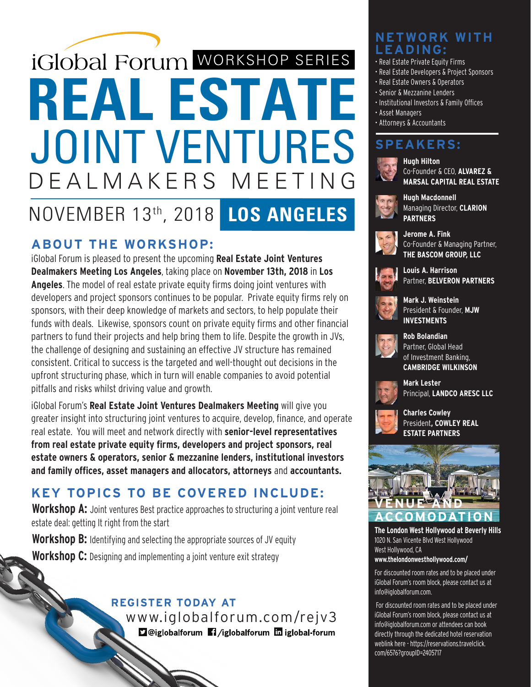# **REAL ESTATE LOS ANGELES iGlobal Forum WORKSHOP SERIES** JOINT VENTURES DEALMAKERS MEETING NOVEMBER 13th, 2018

### **ABOUT THE WORKSHOP:**

iGlobal Forum is pleased to present the upcoming **Real Estate Joint Ventures Dealmakers Meeting Los Angeles**, taking place on **November 13th, 2018** in **Los Angeles**. The model of real estate private equity firms doing joint ventures with developers and project sponsors continues to be popular. Private equity firms rely on sponsors, with their deep knowledge of markets and sectors, to help populate their funds with deals. Likewise, sponsors count on private equity firms and other financial partners to fund their projects and help bring them to life. Despite the growth in JVs, the challenge of designing and sustaining an effective JV structure has remained consistent. Critical to success is the targeted and well-thought out decisions in the upfront structuring phase, which in turn will enable companies to avoid potential pitfalls and risks whilst driving value and growth.

iGlobal Forum's **Real Estate Joint Ventures Dealmakers Meeting** will give you greater insight into structuring joint ventures to acquire, develop, finance, and operate real estate. You will meet and network directly with **senior-level representatives from real estate private equity firms, developers and project sponsors, real estate owners & operators, senior & mezzanine lenders, institutional investors and family offices, asset managers and allocators, attorneys** and **accountants.**

## **KEY TOPICS TO BE COVERED INCLUDE:**

**Workshop A:** Joint ventures Best practice approaches to structuring a joint venture real estate deal: getting It right from the start

**Workshop B:** Identifying and selecting the appropriate sources of JV equity **Workshop C:** Designing and implementing a joint venture exit strategy

### **REGISTER TODAY AT**

 www.iglobalforum.com/rejv3 **D**@iglobalforum 1/iglobalforum miglobal-forum

### **NETWORK WITH LEADING:**

- Real Estate Private Equity Firms
- Real Estate Developers & Project Sponsors
- Real Estate Owners & Operators
- Senior & Mezzanine Lenders
- Institutional Investors & Family Offices
- Asset Managers
- Attorneys & Accountants

## **SPEAKERS:**



**Hugh Hilton** Co-Founder & CEO, **ALVAREZ & MARSAL CAPITAL REAL ESTATE**



**Hugh Macdonnell** Managing Director, **CLARION PARTNERS**



**Jerome A. Fink** Co-Founder & Managing Partner, **THE BASCOM GROUP, LLC**



**Louis A. Harrison** Partner, **BELVERON PARTNERS**



**Mark J. Weinstein** President & Founder, **MJW INVESTMENTS**



**Rob Bolandian** Partner, Global Head of Investment Banking, **CAMBRIDGE WILKINSON**



**Mark Lester** Principal, **LANDCO ARESC LLC**



**Charles Cowley** President**, COWLEY REAL ESTATE PARTNERS**



**The London West Hollywood at Beverly Hills** 1020 N. San Vicente Blvd West Hollywood West Hollywood, CA **www.thelondonwesthollywood.com/**

For discounted room rates and to be placed under iGlobal Forum's room block, please contact us at info@iglobalforum.com.

 For discounted room rates and to be placed under iGlobal Forum's room block, please contact us at info@iglobalforum.com or attendees can book directly through the dedicated hotel reservation weblink here - https://reservations.travelclick. com/6576?groupID=2405717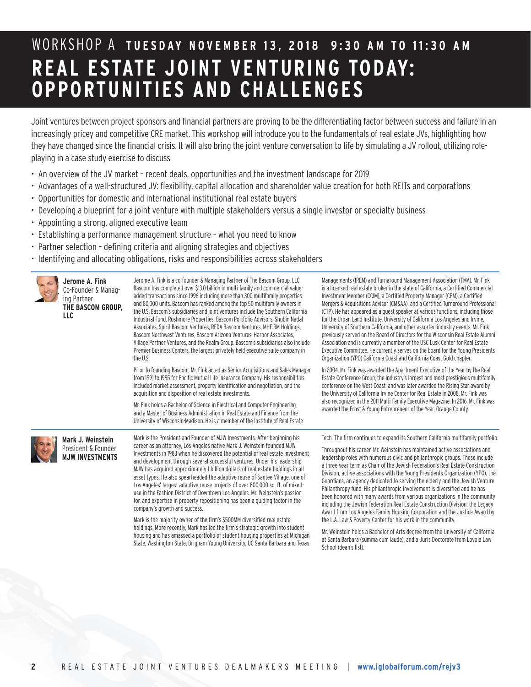## WORKSHOP A **TUESDAY NOVEMBER 13, 2018 9:30 AM TO 11:30 AM REAL ESTATE JOINT VENTURING TODAY: OPPORTUNITIES AND CHALLENGES**

Joint ventures between project sponsors and financial partners are proving to be the differentiating factor between success and failure in an increasingly pricey and competitive CRE market. This workshop will introduce you to the fundamentals of real estate JVs, highlighting how they have changed since the financial crisis. It will also bring the joint venture conversation to life by simulating a JV rollout, utilizing roleplaying in a case study exercise to discuss

- An overview of the JV market recent deals, opportunities and the investment landscape for 2019
- Advantages of a well-structured JV: flexibility, capital allocation and shareholder value creation for both REITs and corporations
- Opportunities for domestic and international institutional real estate buyers
- Developing a blueprint for a joint venture with multiple stakeholders versus a single investor or specialty business
- Appointing a strong, aligned executive team
- Establishing a performance management structure what you need to know
- Partner selection defining criteria and aligning strategies and objectives
- Identifying and allocating obligations, risks and responsibilities across stakeholders

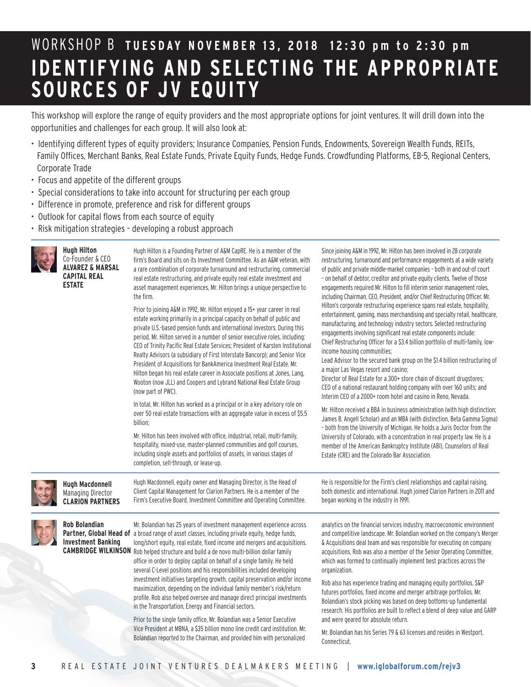## WORKSHOP B **TUESDAY NOVEMBER 13, 2018 12:30 pm to 2:30 pm IDENTIFYING AND SELECTING THE APPROPRIATE SOURCES OF JV EQUITY**

This workshop will explore the range of equity providers and the most appropriate options for joint ventures. It will drill down into the opportunities and challenges for each group. It will also look at:

- Identifying different types of equity providers; Insurance Companies, Pension Funds, Endowments, Sovereign Wealth Funds, REITs, Family Offices, Merchant Banks, Real Estate Funds, Private Equity Funds, Hedge Funds. Crowdfunding Platforms, EB-5, Regional Centers, Corporate Trade
- Focus and appetite of the different groups
- Special considerations to take into account for structuring per each group
- Difference in promote, preference and risk for different groups
- Outlook for capital flows from each source of equity
- Risk mitigation strategies developing a robust approach

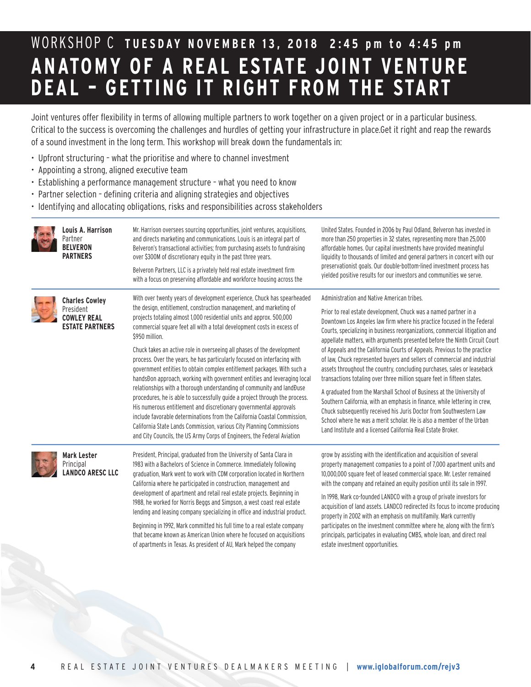## WORKSHOP C **TUESDAY NOVEMBER 13, 2018 2:45 pm to 4:45 pm ANATOMY OF A REAL ESTATE JOINT VENTURE DEAL – GETTING IT RIGHT FROM THE START**

Joint ventures offer flexibility in terms of allowing multiple partners to work together on a given project or in a particular business. Critical to the success is overcoming the challenges and hurdles of getting your infrastructure in place.Get it right and reap the rewards of a sound investment in the long term. This workshop will break down the fundamentals in:

- Upfront structuring what the prioritise and where to channel investment
- Appointing a strong, aligned executive team
- Establishing a performance management structure what you need to know
- Partner selection defining criteria and aligning strategies and objectives
- Identifying and allocating obligations, risks and responsibilities across stakeholders

| Louis A. Harrison<br>Partner<br><b>BELVERON</b><br><b>PARTNERS</b>                 | Mr. Harrison oversees sourcing opportunities, joint ventures, acquisitions,<br>and directs marketing and communications. Louis is an integral part of<br>Belveron's transactional activities; from purchasing assets to fundraising<br>over \$300M of discretionary equity in the past three years.<br>Belveron Partners, LLC is a privately held real estate investment firm<br>with a focus on preserving affordable and workforce housing across the                                                                                                                                                                                                                                                                                                                                                                                                                                                                                                                                                                                                                                    | United States. Founded in 2006 by Paul Odland, Belveron has invested in<br>more than 250 properties in 32 states, representing more than 25,000<br>affordable homes. Our capital investments have provided meaningful<br>liquidity to thousands of limited and general partners in concert with our<br>preservationist goals. Our double-bottom-lined investment process has<br>yielded positive results for our investors and communities we serve.                                                                                                                                                                                                                                                                                                                                                                                                                                                                                                                                                                                         |
|------------------------------------------------------------------------------------|--------------------------------------------------------------------------------------------------------------------------------------------------------------------------------------------------------------------------------------------------------------------------------------------------------------------------------------------------------------------------------------------------------------------------------------------------------------------------------------------------------------------------------------------------------------------------------------------------------------------------------------------------------------------------------------------------------------------------------------------------------------------------------------------------------------------------------------------------------------------------------------------------------------------------------------------------------------------------------------------------------------------------------------------------------------------------------------------|----------------------------------------------------------------------------------------------------------------------------------------------------------------------------------------------------------------------------------------------------------------------------------------------------------------------------------------------------------------------------------------------------------------------------------------------------------------------------------------------------------------------------------------------------------------------------------------------------------------------------------------------------------------------------------------------------------------------------------------------------------------------------------------------------------------------------------------------------------------------------------------------------------------------------------------------------------------------------------------------------------------------------------------------|
| <b>Charles Cowley</b><br>President<br><b>COWLEY REAL</b><br><b>ESTATE PARTNERS</b> | With over twenty years of development experience, Chuck has spearheaded<br>the design, entitlement, construction management, and marketing of<br>projects totaling almost 1,000 residential units and approx. 500,000<br>commercial square feet all with a total development costs in excess of<br>\$950 million.<br>Chuck takes an active role in overseeing all phases of the development<br>process. Over the years, he has particularly focused on interfacing with<br>government entities to obtain complex entitlement packages. With such a<br>handsĐon approach, working with government entities and leveraging local<br>relationships with a thorough understanding of community and landĐuse<br>procedures, he is able to successfully guide a project through the process.<br>His numerous entitlement and discretionary governmental approvals<br>include favorable determinations from the California Coastal Commission,<br>California State Lands Commission, various City Planning Commissions<br>and City Councils, the US Army Corps of Engineers, the Federal Aviation | Administration and Native American tribes.<br>Prior to real estate development, Chuck was a named partner in a<br>Downtown Los Angeles law firm where his practice focused in the Federal<br>Courts, specializing in business reorganizations, commercial litigation and<br>appellate matters, with arguments presented before the Ninth Circuit Court<br>of Appeals and the California Courts of Appeals. Previous to the practice<br>of law, Chuck represented buyers and sellers of commercial and industrial<br>assets throughout the country, concluding purchases, sales or leaseback<br>transactions totaling over three million square feet in fifteen states.<br>A graduated from the Marshall School of Business at the University of<br>Southern California, with an emphasis in finance, while lettering in crew,<br>Chuck subsequently received his Juris Doctor from Southwestern Law<br>School where he was a merit scholar. He is also a member of the Urban<br>Land Institute and a licensed California Real Estate Broker. |
| <b>Mark Lester</b><br>Principal<br><b>LANDCO ARESC LLC</b>                         | President, Principal, graduated from the University of Santa Clara in<br>1983 with a Bachelors of Science in Commerce. Immediately following<br>graduation, Mark went to work with CDM corporation located in Northern<br>California where he participated in construction, management and<br>development of apartment and retail real estate projects. Beginning in<br>1988, he worked for Norris Beggs and Simpson, a west coast real estate<br>lending and leasing company specializing in office and industrial product.<br>Beginning in 1992, Mark committed his full time to a real estate company<br>that became known as American Union where he focused on acquisitions<br>of apartments in Texas. As president of AU, Mark helped the company                                                                                                                                                                                                                                                                                                                                    | grow by assisting with the identification and acquisition of several<br>property management companies to a point of 7,000 apartment units and<br>10,000,000 square feet of leased commercial space. Mr. Lester remained<br>with the company and retained an equity position until its sale in 1997.<br>In 1998, Mark co-founded LANDCO with a group of private investors for<br>acquisition of land assets. LANDCO redirected its focus to income producing<br>property in 2002 with an emphasis on multifamily. Mark currently<br>participates on the investment committee where he, along with the firm's<br>principals, participates in evaluating CMBS, whole loan, and direct real<br>estate investment opportunities.                                                                                                                                                                                                                                                                                                                  |